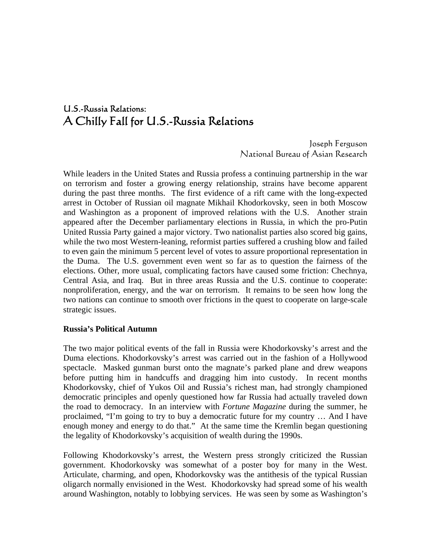# U.S.-Russia Relations: A Chilly Fall for U.S.-Russia Relations

Joseph Ferguson National Bureau of Asian Research

While leaders in the United States and Russia profess a continuing partnership in the war on terrorism and foster a growing energy relationship, strains have become apparent during the past three months. The first evidence of a rift came with the long-expected arrest in October of Russian oil magnate Mikhail Khodorkovsky, seen in both Moscow and Washington as a proponent of improved relations with the U.S. Another strain appeared after the December parliamentary elections in Russia, in which the pro-Putin United Russia Party gained a major victory. Two nationalist parties also scored big gains, while the two most Western-leaning, reformist parties suffered a crushing blow and failed to even gain the minimum 5 percent level of votes to assure proportional representation in the Duma. The U.S. government even went so far as to question the fairness of the elections. Other, more usual, complicating factors have caused some friction: Chechnya, Central Asia, and Iraq. But in three areas Russia and the U.S. continue to cooperate: nonproliferation, energy, and the war on terrorism. It remains to be seen how long the two nations can continue to smooth over frictions in the quest to cooperate on large-scale strategic issues.

#### **Russia's Political Autumn**

The two major political events of the fall in Russia were Khodorkovsky's arrest and the Duma elections. Khodorkovsky's arrest was carried out in the fashion of a Hollywood spectacle. Masked gunman burst onto the magnate's parked plane and drew weapons before putting him in handcuffs and dragging him into custody. In recent months Khodorkovsky, chief of Yukos Oil and Russia's richest man, had strongly championed democratic principles and openly questioned how far Russia had actually traveled down the road to democracy. In an interview with *Fortune Magazine* during the summer, he proclaimed, "I'm going to try to buy a democratic future for my country … And I have enough money and energy to do that." At the same time the Kremlin began questioning the legality of Khodorkovsky's acquisition of wealth during the 1990s.

Following Khodorkovsky's arrest, the Western press strongly criticized the Russian government. Khodorkovsky was somewhat of a poster boy for many in the West. Articulate, charming, and open, Khodorkovsky was the antithesis of the typical Russian oligarch normally envisioned in the West. Khodorkovsky had spread some of his wealth around Washington, notably to lobbying services. He was seen by some as Washington's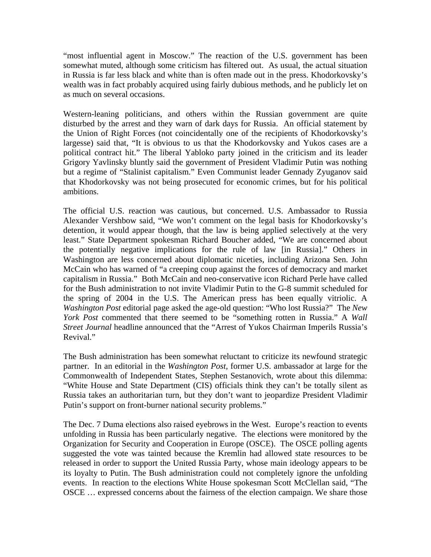"most influential agent in Moscow." The reaction of the U.S. government has been somewhat muted, although some criticism has filtered out. As usual, the actual situation in Russia is far less black and white than is often made out in the press. Khodorkovsky's wealth was in fact probably acquired using fairly dubious methods, and he publicly let on as much on several occasions.

Western-leaning politicians, and others within the Russian government are quite disturbed by the arrest and they warn of dark days for Russia. An official statement by the Union of Right Forces (not coincidentally one of the recipients of Khodorkovsky's largesse) said that, "It is obvious to us that the Khodorkovsky and Yukos cases are a political contract hit." The liberal Yabloko party joined in the criticism and its leader Grigory Yavlinsky bluntly said the government of President Vladimir Putin was nothing but a regime of "Stalinist capitalism." Even Communist leader Gennady Zyuganov said that Khodorkovsky was not being prosecuted for economic crimes, but for his political ambitions.

The official U.S. reaction was cautious, but concerned. U.S. Ambassador to Russia Alexander Vershbow said, "We won't comment on the legal basis for Khodorkovsky's detention, it would appear though, that the law is being applied selectively at the very least." State Department spokesman Richard Boucher added, "We are concerned about the potentially negative implications for the rule of law [in Russia]." Others in Washington are less concerned about diplomatic niceties, including Arizona Sen. John McCain who has warned of "a creeping coup against the forces of democracy and market capitalism in Russia." Both McCain and neo-conservative icon Richard Perle have called for the Bush administration to not invite Vladimir Putin to the G-8 summit scheduled for the spring of 2004 in the U.S. The American press has been equally vitriolic. A *Washington Post* editorial page asked the age-old question: "Who lost Russia?" The *New York Post* commented that there seemed to be "something rotten in Russia." A *Wall Street Journal* headline announced that the "Arrest of Yukos Chairman Imperils Russia's Revival."

The Bush administration has been somewhat reluctant to criticize its newfound strategic partner. In an editorial in the *Washington Post,* former U.S. ambassador at large for the Commonwealth of Independent States, Stephen Sestanovich, wrote about this dilemma: "White House and State Department (CIS) officials think they can't be totally silent as Russia takes an authoritarian turn, but they don't want to jeopardize President Vladimir Putin's support on front-burner national security problems."

The Dec. 7 Duma elections also raised eyebrows in the West. Europe's reaction to events unfolding in Russia has been particularly negative. The elections were monitored by the Organization for Security and Cooperation in Europe (OSCE). The OSCE polling agents suggested the vote was tainted because the Kremlin had allowed state resources to be released in order to support the United Russia Party, whose main ideology appears to be its loyalty to Putin. The Bush administration could not completely ignore the unfolding events. In reaction to the elections White House spokesman Scott McClellan said, "The OSCE … expressed concerns about the fairness of the election campaign. We share those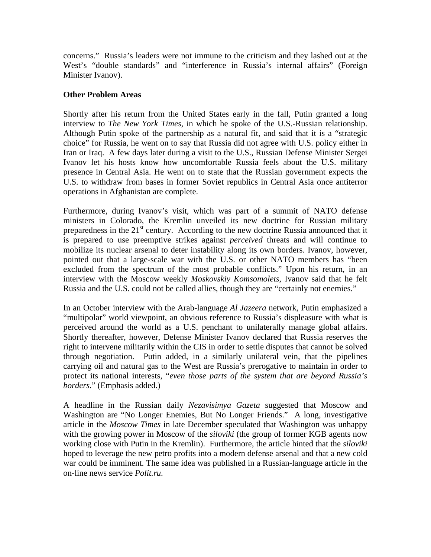concerns." Russia's leaders were not immune to the criticism and they lashed out at the West's "double standards" and "interference in Russia's internal affairs" (Foreign Minister Ivanov).

#### **Other Problem Areas**

Shortly after his return from the United States early in the fall, Putin granted a long interview to *The New York Times*, in which he spoke of the U.S.-Russian relationship. Although Putin spoke of the partnership as a natural fit, and said that it is a "strategic choice" for Russia, he went on to say that Russia did not agree with U.S. policy either in Iran or Iraq. A few days later during a visit to the U.S., Russian Defense Minister Sergei Ivanov let his hosts know how uncomfortable Russia feels about the U.S. military presence in Central Asia. He went on to state that the Russian government expects the U.S. to withdraw from bases in former Soviet republics in Central Asia once antiterror operations in Afghanistan are complete.

Furthermore, during Ivanov's visit, which was part of a summit of NATO defense ministers in Colorado, the Kremlin unveiled its new doctrine for Russian military preparedness in the  $21<sup>st</sup>$  century. According to the new doctrine Russia announced that it is prepared to use preemptive strikes against *perceived* threats and will continue to mobilize its nuclear arsenal to deter instability along its own borders. Ivanov, however, pointed out that a large-scale war with the U.S. or other NATO members has "been excluded from the spectrum of the most probable conflicts." Upon his return, in an interview with the Moscow weekly *Moskovskiy Komsomolets*, Ivanov said that he felt Russia and the U.S. could not be called allies, though they are "certainly not enemies."

In an October interview with the Arab-language *Al Jazeera* network, Putin emphasized a "multipolar" world viewpoint, an obvious reference to Russia's displeasure with what is perceived around the world as a U.S. penchant to unilaterally manage global affairs. Shortly thereafter, however, Defense Minister Ivanov declared that Russia reserves the right to intervene militarily within the CIS in order to settle disputes that cannot be solved through negotiation. Putin added, in a similarly unilateral vein, that the pipelines carrying oil and natural gas to the West are Russia's prerogative to maintain in order to protect its national interests, "*even those parts of the system that are beyond Russia's borders*." (Emphasis added.)

A headline in the Russian daily *Nezavisimya Gazeta* suggested that Moscow and Washington are "No Longer Enemies, But No Longer Friends." A long, investigative article in the *Moscow Times* in late December speculated that Washington was unhappy with the growing power in Moscow of the *siloviki* (the group of former KGB agents now working close with Putin in the Kremlin). Furthermore, the article hinted that the *siloviki* hoped to leverage the new petro profits into a modern defense arsenal and that a new cold war could be imminent. The same idea was published in a Russian-language article in the on-line news service *Polit.ru*.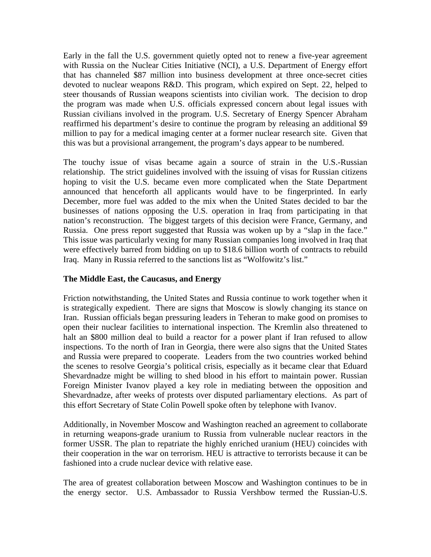Early in the fall the U.S. government quietly opted not to renew a five-year agreement with Russia on the Nuclear Cities Initiative (NCI), a U.S. Department of Energy effort that has channeled \$87 million into business development at three once-secret cities devoted to nuclear weapons R&D. This program, which expired on Sept. 22, helped to steer thousands of Russian weapons scientists into civilian work. The decision to drop the program was made when U.S. officials expressed concern about legal issues with Russian civilians involved in the program. U.S. Secretary of Energy Spencer Abraham reaffirmed his department's desire to continue the program by releasing an additional \$9 million to pay for a medical imaging center at a former nuclear research site. Given that this was but a provisional arrangement, the program's days appear to be numbered.

The touchy issue of visas became again a source of strain in the U.S.-Russian relationship. The strict guidelines involved with the issuing of visas for Russian citizens hoping to visit the U.S. became even more complicated when the State Department announced that henceforth all applicants would have to be fingerprinted. In early December, more fuel was added to the mix when the United States decided to bar the businesses of nations opposing the U.S. operation in Iraq from participating in that nation's reconstruction. The biggest targets of this decision were France, Germany, and Russia. One press report suggested that Russia was woken up by a "slap in the face." This issue was particularly vexing for many Russian companies long involved in Iraq that were effectively barred from bidding on up to \$18.6 billion worth of contracts to rebuild Iraq. Many in Russia referred to the sanctions list as "Wolfowitz's list."

#### **The Middle East, the Caucasus, and Energy**

Friction notwithstanding, the United States and Russia continue to work together when it is strategically expedient. There are signs that Moscow is slowly changing its stance on Iran. Russian officials began pressuring leaders in Teheran to make good on promises to open their nuclear facilities to international inspection. The Kremlin also threatened to halt an \$800 million deal to build a reactor for a power plant if Iran refused to allow inspections. To the north of Iran in Georgia, there were also signs that the United States and Russia were prepared to cooperate. Leaders from the two countries worked behind the scenes to resolve Georgia's political crisis, especially as it became clear that Eduard Shevardnadze might be willing to shed blood in his effort to maintain power. Russian Foreign Minister Ivanov played a key role in mediating between the opposition and Shevardnadze, after weeks of protests over disputed parliamentary elections. As part of this effort Secretary of State Colin Powell spoke often by telephone with Ivanov.

Additionally, in November Moscow and Washington reached an agreement to collaborate in returning weapons-grade uranium to Russia from vulnerable nuclear reactors in the former USSR. The plan to repatriate the highly enriched uranium (HEU) coincides with their cooperation in the war on terrorism. HEU is attractive to terrorists because it can be fashioned into a crude nuclear device with relative ease.

The area of greatest collaboration between Moscow and Washington continues to be in the energy sector. U.S. Ambassador to Russia Vershbow termed the Russian-U.S.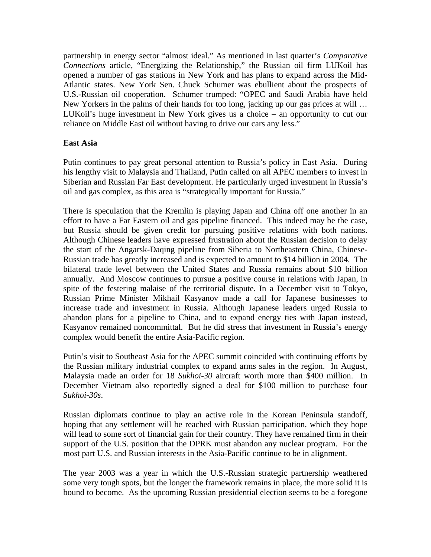partnership in energy sector "almost ideal." As mentioned in last quarter's *Comparative Connections* article, "Energizing the Relationship," the Russian oil firm LUKoil has opened a number of gas stations in New York and has plans to expand across the Mid-Atlantic states. New York Sen. Chuck Schumer was ebullient about the prospects of U.S.-Russian oil cooperation. Schumer trumped: "OPEC and Saudi Arabia have held New Yorkers in the palms of their hands for too long, jacking up our gas prices at will … LUKoil's huge investment in New York gives us a choice – an opportunity to cut our reliance on Middle East oil without having to drive our cars any less."

### **East Asia**

Putin continues to pay great personal attention to Russia's policy in East Asia. During his lengthy visit to Malaysia and Thailand, Putin called on all APEC members to invest in Siberian and Russian Far East development. He particularly urged investment in Russia's oil and gas complex, as this area is "strategically important for Russia."

There is speculation that the Kremlin is playing Japan and China off one another in an effort to have a Far Eastern oil and gas pipeline financed. This indeed may be the case, but Russia should be given credit for pursuing positive relations with both nations. Although Chinese leaders have expressed frustration about the Russian decision to delay the start of the Angarsk-Daqing pipeline from Siberia to Northeastern China, Chinese-Russian trade has greatly increased and is expected to amount to \$14 billion in 2004. The bilateral trade level between the United States and Russia remains about \$10 billion annually. And Moscow continues to pursue a positive course in relations with Japan, in spite of the festering malaise of the territorial dispute. In a December visit to Tokyo, Russian Prime Minister Mikhail Kasyanov made a call for Japanese businesses to increase trade and investment in Russia. Although Japanese leaders urged Russia to abandon plans for a pipeline to China, and to expand energy ties with Japan instead, Kasyanov remained noncommittal. But he did stress that investment in Russia's energy complex would benefit the entire Asia-Pacific region.

Putin's visit to Southeast Asia for the APEC summit coincided with continuing efforts by the Russian military industrial complex to expand arms sales in the region. In August, Malaysia made an order for 18 *Sukhoi-30* aircraft worth more than \$400 million. In December Vietnam also reportedly signed a deal for \$100 million to purchase four *Sukhoi-30s*.

Russian diplomats continue to play an active role in the Korean Peninsula standoff, hoping that any settlement will be reached with Russian participation, which they hope will lead to some sort of financial gain for their country. They have remained firm in their support of the U.S. position that the DPRK must abandon any nuclear program. For the most part U.S. and Russian interests in the Asia-Pacific continue to be in alignment.

The year 2003 was a year in which the U.S.-Russian strategic partnership weathered some very tough spots, but the longer the framework remains in place, the more solid it is bound to become. As the upcoming Russian presidential election seems to be a foregone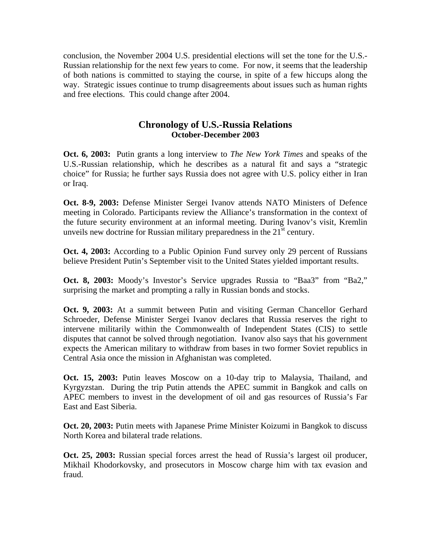conclusion, the November 2004 U.S. presidential elections will set the tone for the U.S.- Russian relationship for the next few years to come. For now, it seems that the leadership of both nations is committed to staying the course, in spite of a few hiccups along the way. Strategic issues continue to trump disagreements about issues such as human rights and free elections. This could change after 2004.

## **Chronology of U.S.-Russia Relations October-December 2003**

**Oct. 6, 2003:** Putin grants a long interview to *The New York Times* and speaks of the U.S.-Russian relationship, which he describes as a natural fit and says a "strategic choice" for Russia; he further says Russia does not agree with U.S. policy either in Iran or Iraq.

**Oct. 8-9, 2003:** Defense Minister Sergei Ivanov attends NATO Ministers of Defence meeting in Colorado. Participants review the Alliance's transformation in the context of the future security environment at an informal meeting. During Ivanov's visit, Kremlin unveils new doctrine for Russian military preparedness in the  $21<sup>st</sup>$  century.

**Oct. 4, 2003:** According to a Public Opinion Fund survey only 29 percent of Russians believe President Putin's September visit to the United States yielded important results.

**Oct. 8, 2003:** Moody's Investor's Service upgrades Russia to "Baa3" from "Ba2," surprising the market and prompting a rally in Russian bonds and stocks.

**Oct. 9, 2003:** At a summit between Putin and visiting German Chancellor Gerhard Schroeder, Defense Minister Sergei Ivanov declares that Russia reserves the right to intervene militarily within the Commonwealth of Independent States (CIS) to settle disputes that cannot be solved through negotiation. Ivanov also says that his government expects the American military to withdraw from bases in two former Soviet republics in Central Asia once the mission in Afghanistan was completed.

**Oct. 15, 2003:** Putin leaves Moscow on a 10-day trip to Malaysia, Thailand, and Kyrgyzstan. During the trip Putin attends the APEC summit in Bangkok and calls on APEC members to invest in the development of oil and gas resources of Russia's Far East and East Siberia.

**Oct. 20, 2003:** Putin meets with Japanese Prime Minister Koizumi in Bangkok to discuss North Korea and bilateral trade relations.

**Oct. 25, 2003:** Russian special forces arrest the head of Russia's largest oil producer, Mikhail Khodorkovsky, and prosecutors in Moscow charge him with tax evasion and fraud.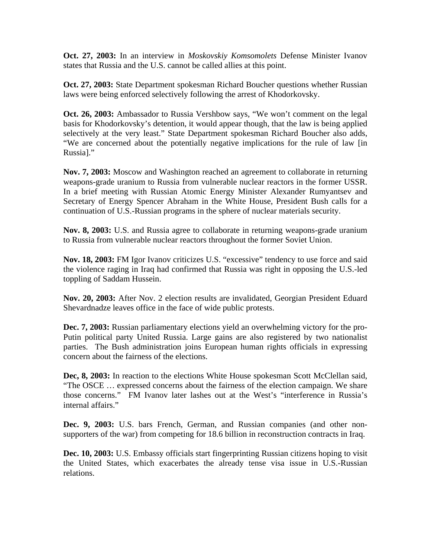**Oct. 27, 2003:** In an interview in *Moskovskiy Komsomolets* Defense Minister Ivanov states that Russia and the U.S. cannot be called allies at this point.

**Oct. 27, 2003:** State Department spokesman Richard Boucher questions whether Russian laws were being enforced selectively following the arrest of Khodorkovsky.

**Oct. 26, 2003:** Ambassador to Russia Vershbow says, "We won't comment on the legal basis for Khodorkovsky's detention, it would appear though, that the law is being applied selectively at the very least." State Department spokesman Richard Boucher also adds, "We are concerned about the potentially negative implications for the rule of law [in Russia]."

**Nov. 7, 2003:** Moscow and Washington reached an agreement to collaborate in returning weapons-grade uranium to Russia from vulnerable nuclear reactors in the former USSR. In a brief meeting with Russian Atomic Energy Minister Alexander Rumyantsev and Secretary of Energy Spencer Abraham in the White House, President Bush calls for a continuation of U.S.-Russian programs in the sphere of nuclear materials security.

**Nov. 8, 2003:** U.S. and Russia agree to collaborate in returning weapons-grade uranium to Russia from vulnerable nuclear reactors throughout the former Soviet Union.

**Nov. 18, 2003:** FM Igor Ivanov criticizes U.S. "excessive" tendency to use force and said the violence raging in Iraq had confirmed that Russia was right in opposing the U.S.-led toppling of Saddam Hussein.

**Nov. 20, 2003:** After Nov. 2 election results are invalidated, Georgian President Eduard Shevardnadze leaves office in the face of wide public protests.

**Dec. 7, 2003:** Russian parliamentary elections yield an overwhelming victory for the pro-Putin political party United Russia. Large gains are also registered by two nationalist parties. The Bush administration joins European human rights officials in expressing concern about the fairness of the elections.

Dec, 8, 2003: In reaction to the elections White House spokesman Scott McClellan said, "The OSCE … expressed concerns about the fairness of the election campaign. We share those concerns." FM Ivanov later lashes out at the West's "interference in Russia's internal affairs."

**Dec. 9, 2003:** U.S. bars French, German, and Russian companies (and other nonsupporters of the war) from competing for 18.6 billion in reconstruction contracts in Iraq.

**Dec. 10, 2003:** U.S. Embassy officials start fingerprinting Russian citizens hoping to visit the United States, which exacerbates the already tense visa issue in U.S.-Russian relations.